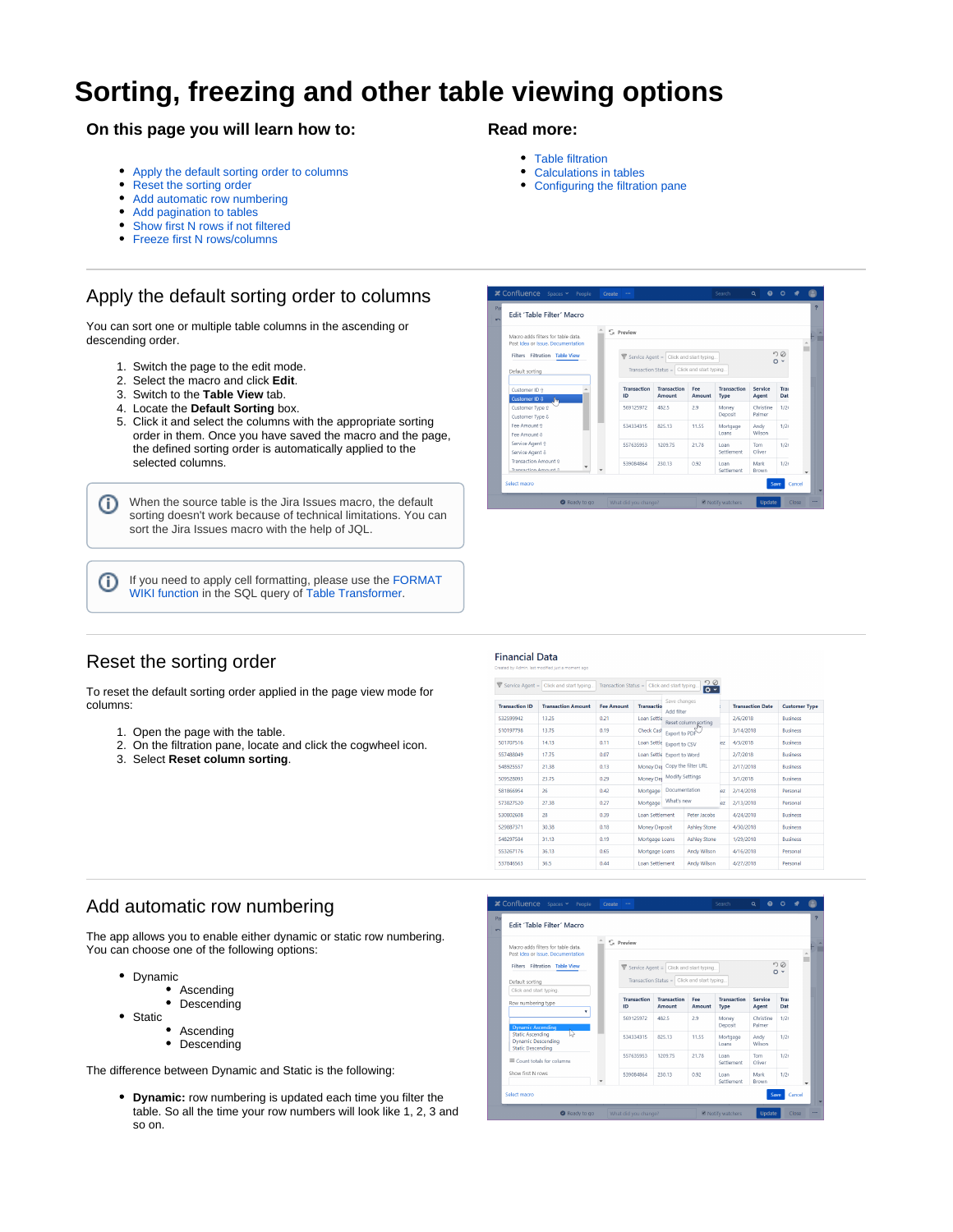# **Sorting, freezing and other table viewing options**

### **On this page you will learn how to:**

- [Apply the default sorting order to columns](#page-0-0)
- [Reset the sorting order](#page-0-1)
- [Add automatic row numbering](#page-0-2)
- [Add pagination to tables](#page-1-0)
- [Show first N rows if not filtered](#page-1-1)
- [Freeze first N rows/columns](#page-1-2)

## <span id="page-0-0"></span>Apply the default sorting order to columns

You can sort one or multiple table columns in the ascending or descending order.

- 1. Switch the page to the edit mode.
- 2. Select the macro and click **Edit**.
- 3. Switch to the **Table View** tab.
- 4. Locate the **Default Sorting** box.
- 5. Click it and select the columns with the appropriate sorting order in them. Once you have saved the macro and the page, the defined sorting order is automatically applied to the selected columns.

When the source table is the Jira Issues macro, the default O sorting doesn't work because of technical limitations. You can sort the Jira Issues macro with the help of JQL.

If you need to apply cell formatting, please use the [FORMAT](https://docs.stiltsoft.com/display/TFAC/Advanced+table+cells+formatting) O [WIKI function](https://docs.stiltsoft.com/display/TFAC/Advanced+table+cells+formatting) in the SQL query of [Table Transformer](https://docs.stiltsoft.com/display/TFAC/How+to+use+Table+Transformer+macro).

### **Read more:**

- [Table filtration](https://docs.stiltsoft.com/display/TFAC/Table+filtration)
- $\bullet$ [Calculations in tables](https://docs.stiltsoft.com/display/TFAC/Calculations+in+tables)
- [Configuring the filtration pane](https://docs.stiltsoft.com/display/TFAC/Configuring+the+filtration+pane)

| Edit 'Table Filter' Macro                                              |                    |                                                                                                |        |                    |                     |           |  |
|------------------------------------------------------------------------|--------------------|------------------------------------------------------------------------------------------------|--------|--------------------|---------------------|-----------|--|
| Macro adds filters for table data<br>Post Idea or Issue, Documentation | S Preview          |                                                                                                |        |                    |                     |           |  |
| Filters Filtration<br><b>Table View</b>                                |                    | Service Agent = $\vert$ Click and start typing.<br>Transaction Status = Click and start typing |        |                    |                     | DQ<br>o - |  |
| Default sorting                                                        |                    |                                                                                                |        |                    |                     |           |  |
| Customer ID ft                                                         | <b>Transaction</b> | <b>Transaction</b>                                                                             | Fee    | <b>Transaction</b> | Service             | Trai      |  |
| Customer ID 8<br><b>I</b> m                                            | ID                 | Amount                                                                                         | Amount | Type               | Agent               | Dat       |  |
| Customer Type @                                                        | 569125972          | 482.5                                                                                          | 2.9    | Money              | Christine<br>Palmer | 1/21      |  |
| Customer Type 8                                                        |                    |                                                                                                |        | Deposit            |                     |           |  |
| Fee Amount 2<br>Fee Amount &                                           | 534334315          | 825.13                                                                                         | 11.55  | Mortgage<br>Loans  | Andy<br>Wilson      | 1/21      |  |
| Service Agent 9                                                        |                    |                                                                                                |        |                    |                     |           |  |
| Service Agent &                                                        | 557635953          | 1209.75                                                                                        | 21.78  | Loan<br>Settlement | Tom<br>Oliver       | 1/21      |  |
| Transaction Amount ft                                                  | 539084864          | 230.13                                                                                         | 0.92   | Loan               | Mark                | 1/21      |  |
| Transaction Amount 0                                                   |                    |                                                                                                |        | Settlement         | Brown               |           |  |

## <span id="page-0-1"></span>Reset the sorting order

To reset the default sorting order applied in the page view mode for columns:

- 1. Open the page with the table.
- 2. On the filtration pane, locate and click the cogwheel icon.
- 3. Select **Reset column sorting**.

#### **Financial Data**

Service Agent =  $\boxed{\text{Click and start typing...}}$  Transaction Status =  $\boxed{\text{Click and start typing...}}$ 

|                       |                           |                   |                        |                                                       | . .                  |           |                         |                      |
|-----------------------|---------------------------|-------------------|------------------------|-------------------------------------------------------|----------------------|-----------|-------------------------|----------------------|
| <b>Transaction ID</b> | <b>Transaction Amount</b> | <b>Fee Amount</b> | <b>Transactio</b>      | Save changes<br>Add filter                            |                      |           | <b>Transaction Date</b> | <b>Customer Type</b> |
| 532599942             | 13.25                     | 0.21              | Loan Settle            |                                                       | Reset column sorting |           | 2/6/2018                | <b>Business</b>      |
| 510197798             | 13.75                     | 0.19              | <b>Check Cash</b>      | Export to PDF                                         |                      |           | 3/14/2018               | <b>Business</b>      |
| 501707516             | 14.13                     | 0.11              | Loan Settle            | Export to CSV                                         |                      | lez       | 4/3/2018                | <b>Business</b>      |
| 557488049             | 17.75                     | 0.07              | Loan Settle            | Export to Word                                        |                      |           | 2/7/2018                | <b>Business</b>      |
| 548925557             | 21.38                     | 0.13              | Money Der              |                                                       | Copy the filter URL  |           | 2/17/2018               | <b>Business</b>      |
| 509528093             | 23.75                     | 0.29              | Money Des              | <b>Modify Settings</b><br>Documentation<br>What's new |                      |           | 3/1/2018                | <b>Business</b>      |
| 581866954             | 26                        | 0.42              | Mortgage               |                                                       |                      | iP7       | 2/14/2018               | Personal             |
| 573827520             | 27.38                     | 0.27              | Mortgage               |                                                       |                      | <b>P7</b> | 2/13/2018               | Personal             |
| 530802608             | 28                        | 0.39              | Loan Settlement        | Peter Jacobs                                          |                      |           | 4/24/2018               | <b>Business</b>      |
| 529887371             | 30.38                     | 0.18              |                        | <b>Money Deposit</b><br><b>Ashley Stone</b>           |                      |           | 4/30/2018               | <b>Business</b>      |
| 548297584             | 31.13                     | 0.19              | Mortgage Loans         | <b>Ashley Stone</b>                                   |                      |           | 1/29/2018               | <b>Business</b>      |
| 553267176             | 36.13                     | 0.65              | Mortgage Loans         |                                                       | Andy Wilson          |           | 4/16/2018               | Personal             |
| 537846563             | 36.5                      | 0.44              | <b>Loan Settlement</b> |                                                       | <b>Andy Wilson</b>   |           | 4/27/2018               | Personal             |

#### <span id="page-0-2"></span>Add automatic row numbering

The app allows you to enable either dynamic or static row numbering. You can choose one of the following options:

- Dynamic
	- Ascending
	- Descending
- Static
	- Ascending • Descending

The difference between Dynamic and Static is the following:

 $\bullet$ **Dynamic:** row numbering is updated each time you filter the table. So all the time your row numbers will look like 1, 2, 3 and so on.

| Edit 'Table Filter' Macro                                                             |                        |                                                                                        |               |                            |                     |             |  |
|---------------------------------------------------------------------------------------|------------------------|----------------------------------------------------------------------------------------|---------------|----------------------------|---------------------|-------------|--|
| Macro adds filters for table data.                                                    | C <sub>a</sub> Preview |                                                                                        |               |                            |                     |             |  |
| Post Idea or Issue, Documentation<br>Filters Filtration Table View<br>Default sorting |                        | Service Agent = Click and start typing<br>Transaction Status = Click and start typing. |               |                            |                     | DQ<br>o -   |  |
| Click and start typing.<br>Row numbering type                                         | Transaction<br>ID      | <b>Transaction</b><br>Amount                                                           | Fee<br>Amount | <b>Transaction</b><br>Type | Service<br>Agent    | Trai<br>Dat |  |
| ۰<br><b>Dynamic Ascending</b>                                                         | 569125972              | 482.5                                                                                  | 2.9           | Money<br>Deposit           | Christine<br>Palmer | 1/21        |  |
| <b>Static Ascending</b><br><b>Dynamic Descending</b><br><b>Static Descending</b>      | 534334315              | 825.13                                                                                 | 11.55         | Mortgage<br>Loans          | Andy<br>Wilson      | 1/21        |  |
| Count totals for columns                                                              | 557635953              | 1209.75                                                                                | 21.78         | Loan<br>Settlement         | Tom<br>Oliver       | 1/21        |  |
| Show first N rows                                                                     | 539084864              | 230.13                                                                                 | 0.92          | Loan<br>Settlement         | Mark<br>Brown       | 1/21        |  |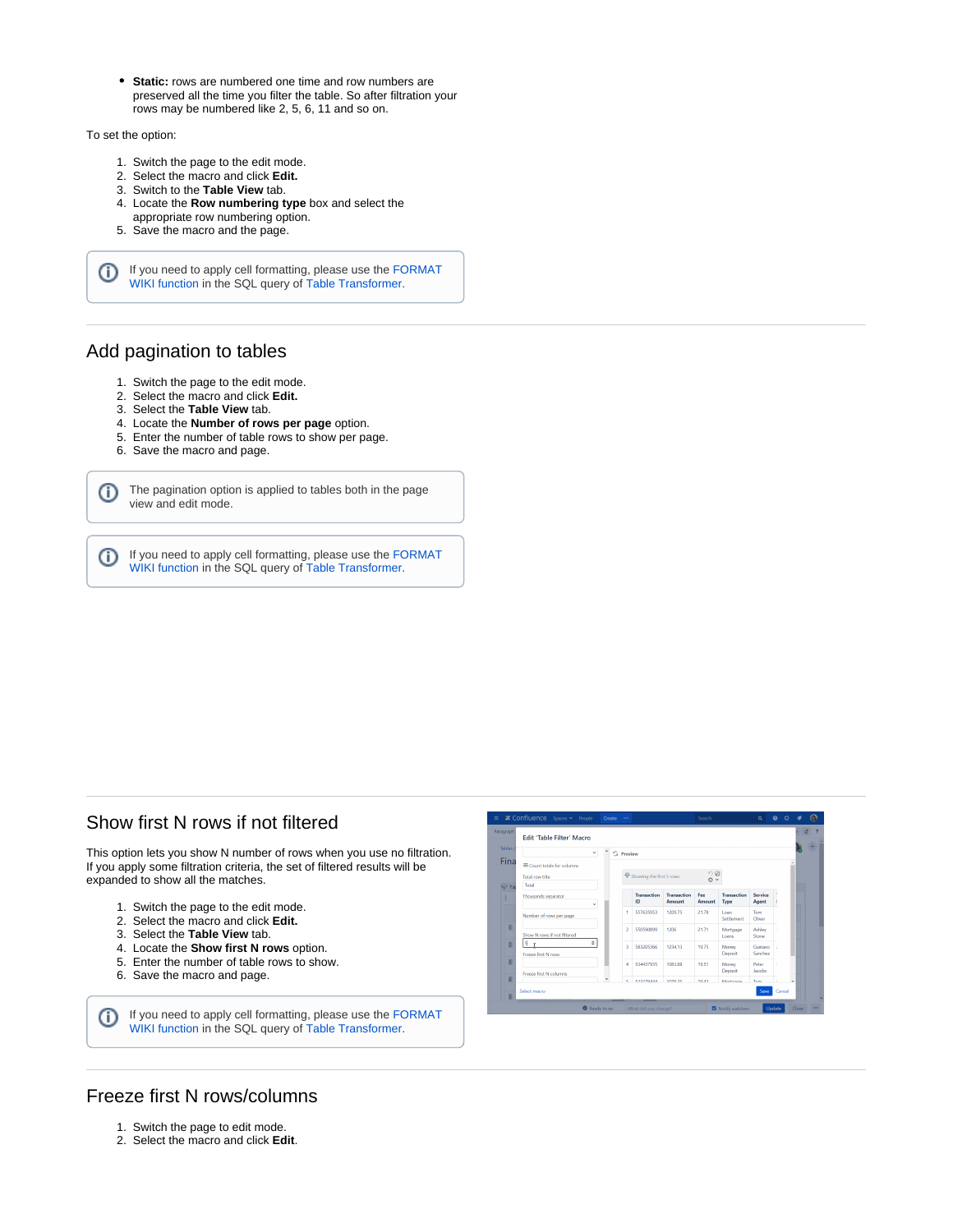**Static:** rows are numbered one time and row numbers are preserved all the time you filter the table. So after filtration your rows may be numbered like 2, 5, 6, 11 and so on.

To set the option:

- 1. Switch the page to the edit mode.
- 2. Select the macro and click **Edit.**
- 3. Switch to the **Table View** tab.
- 4. Locate the **Row numbering type** box and select the
- appropriate row numbering option.
- 5. Save the macro and the page.

If you need to apply cell formatting, please use the [FORMAT](https://docs.stiltsoft.com/display/TFAC/Advanced+table+cells+formatting) ⊕ [WIKI function](https://docs.stiltsoft.com/display/TFAC/Advanced+table+cells+formatting) in the SQL query of [Table Transformer](https://docs.stiltsoft.com/display/TFAC/How+to+use+Table+Transformer+macro).

## <span id="page-1-0"></span>Add pagination to tables

- 1. Switch the page to the edit mode.
- 2. Select the macro and click **Edit.**
- 3. Select the **Table View** tab.
- 4. Locate the **Number of rows per page** option.
- 5. Enter the number of table rows to show per page.
- 6. Save the macro and page.

The pagination option is applied to tables both in the page (i) view and edit mode.

If you need to apply cell formatting, please use the [FORMAT](https://docs.stiltsoft.com/display/TFAC/Advanced+table+cells+formatting) ➀ [WIKI function](https://docs.stiltsoft.com/display/TFAC/Advanced+table+cells+formatting) in the SQL query of [Table Transformer](https://docs.stiltsoft.com/display/TFAC/How+to+use+Table+Transformer+macro).

### <span id="page-1-1"></span>Show first N rows if not filtered

This option lets you show N number of rows when you use no filtration. If you apply some filtration criteria, the set of filtered results will be expanded to show all the matches.

- 1. Switch the page to the edit mode.
- 2. Select the macro and click **Edit.**
- 3. Select the **Table View** tab.
- 4. Locate the **Show first N rows** option.
- 5. Enter the number of table rows to show.
- 6. Save the macro and page.

If you need to apply cell formatting, please use the [FORMAT](https://docs.stiltsoft.com/display/TFAC/Advanced+table+cells+formatting) O [WIKI function](https://docs.stiltsoft.com/display/TFAC/Advanced+table+cells+formatting) in the SQL query of [Table Transformer](https://docs.stiltsoft.com/display/TFAC/How+to+use+Table+Transformer+macro).



## <span id="page-1-2"></span>Freeze first N rows/columns

- 1. Switch the page to edit mode.
- 2. Select the macro and click **Edit**.